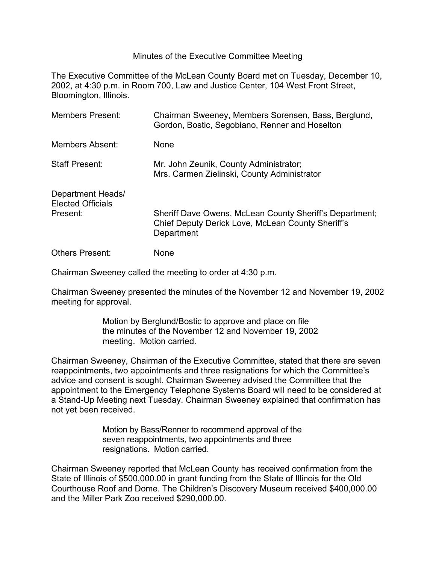## Minutes of the Executive Committee Meeting

The Executive Committee of the McLean County Board met on Tuesday, December 10, 2002, at 4:30 p.m. in Room 700, Law and Justice Center, 104 West Front Street, Bloomington, Illinois.

| <b>Members Present:</b>                                   | Chairman Sweeney, Members Sorensen, Bass, Berglund,<br>Gordon, Bostic, Segobiano, Renner and Hoselton                      |
|-----------------------------------------------------------|----------------------------------------------------------------------------------------------------------------------------|
| Members Absent:                                           | <b>None</b>                                                                                                                |
| <b>Staff Present:</b>                                     | Mr. John Zeunik, County Administrator;<br>Mrs. Carmen Zielinski, County Administrator                                      |
| Department Heads/<br><b>Elected Officials</b><br>Present: | Sheriff Dave Owens, McLean County Sheriff's Department;<br>Chief Deputy Derick Love, McLean County Sheriff's<br>Department |
| <b>Others Present:</b>                                    | <b>None</b>                                                                                                                |

Chairman Sweeney called the meeting to order at 4:30 p.m.

Chairman Sweeney presented the minutes of the November 12 and November 19, 2002 meeting for approval.

> Motion by Berglund/Bostic to approve and place on file the minutes of the November 12 and November 19, 2002 meeting. Motion carried.

Chairman Sweeney, Chairman of the Executive Committee, stated that there are seven reappointments, two appointments and three resignations for which the Committee's advice and consent is sought. Chairman Sweeney advised the Committee that the appointment to the Emergency Telephone Systems Board will need to be considered at a Stand-Up Meeting next Tuesday. Chairman Sweeney explained that confirmation has not yet been received.

> Motion by Bass/Renner to recommend approval of the seven reappointments, two appointments and three resignations. Motion carried.

Chairman Sweeney reported that McLean County has received confirmation from the State of Illinois of \$500,000.00 in grant funding from the State of Illinois for the Old Courthouse Roof and Dome. The Children's Discovery Museum received \$400,000.00 and the Miller Park Zoo received \$290,000.00.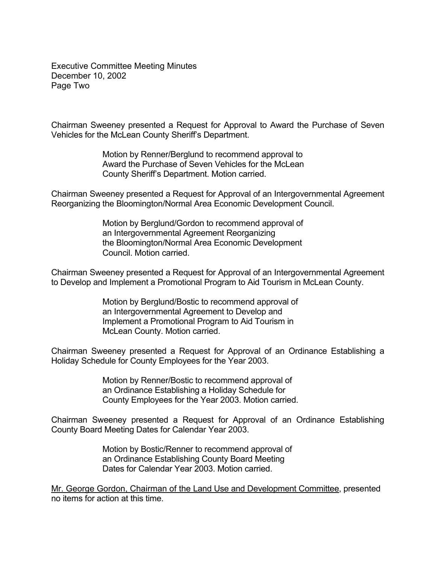Executive Committee Meeting Minutes December 10, 2002 Page Two

Chairman Sweeney presented a Request for Approval to Award the Purchase of Seven Vehicles for the McLean County Sheriff's Department.

> Motion by Renner/Berglund to recommend approval to Award the Purchase of Seven Vehicles for the McLean County Sheriff's Department. Motion carried.

Chairman Sweeney presented a Request for Approval of an Intergovernmental Agreement Reorganizing the Bloomington/Normal Area Economic Development Council.

> Motion by Berglund/Gordon to recommend approval of an Intergovernmental Agreement Reorganizing the Bloomington/Normal Area Economic Development Council. Motion carried.

Chairman Sweeney presented a Request for Approval of an Intergovernmental Agreement to Develop and Implement a Promotional Program to Aid Tourism in McLean County.

> Motion by Berglund/Bostic to recommend approval of an Intergovernmental Agreement to Develop and Implement a Promotional Program to Aid Tourism in McLean County. Motion carried.

Chairman Sweeney presented a Request for Approval of an Ordinance Establishing a Holiday Schedule for County Employees for the Year 2003.

> Motion by Renner/Bostic to recommend approval of an Ordinance Establishing a Holiday Schedule for County Employees for the Year 2003. Motion carried.

Chairman Sweeney presented a Request for Approval of an Ordinance Establishing County Board Meeting Dates for Calendar Year 2003.

> Motion by Bostic/Renner to recommend approval of an Ordinance Establishing County Board Meeting Dates for Calendar Year 2003. Motion carried.

Mr. George Gordon, Chairman of the Land Use and Development Committee, presented no items for action at this time.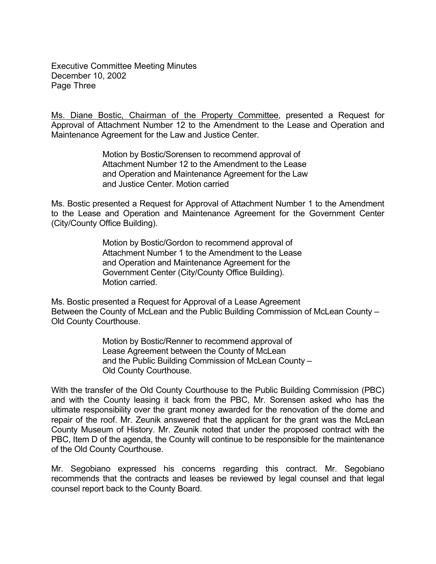Executive Committee Meeting Minutes December 10, 2002 Page Three

Ms. Diane Bostic, Chairman of the Property Committee, presented a Request for Approval of Attachment Number 12 to the Amendment to the Lease and Operation and Maintenance Agreement for the Law and Justice Center.

> Motion by Bostic/Sorensen to recommend approval of Attachment Number 12 to the Amendment to the Lease and Operation and Maintenance Agreement for the Law and Justice Center. Motion carried

Ms. Bostic presented a Request for Approval of Attachment Number 1 to the Amendment to the Lease and Operation and Maintenance Agreement for the Government Center (City/County Office Building).

> Motion by Bostic/Gordon to recommend approval of Attachment Number 1 to the Amendment to the Lease and Operation and Maintenance Agreement for the Government Center (City/County Office Building). Motion carried.

Ms. Bostic presented a Request for Approval of a Lease Agreement Between the County of McLean and the Public Building Commission of McLean County – Old County Courthouse.

> Motion by Bostic/Renner to recommend approval of Lease Agreement between the County of McLean and the Public Building Commission of McLean County – Old County Courthouse.

With the transfer of the Old County Courthouse to the Public Building Commission (PBC) and with the County leasing it back from the PBC, Mr. Sorensen asked who has the ultimate responsibility over the grant money awarded for the renovation of the dome and repair of the roof. Mr. Zeunik answered that the applicant for the grant was the McLean County Museum of History. Mr. Zeunik noted that under the proposed contract with the PBC, Item D of the agenda, the County will continue to be responsible for the maintenance of the Old County Courthouse.

Mr. Segobiano expressed his concerns regarding this contract. Mr. Segobiano recommends that the contracts and leases be reviewed by legal counsel and that legal counsel report back to the County Board.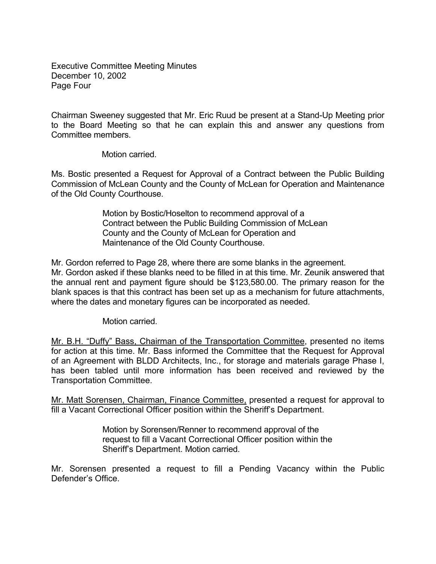Executive Committee Meeting Minutes December 10, 2002 Page Four

Chairman Sweeney suggested that Mr. Eric Ruud be present at a Stand-Up Meeting prior to the Board Meeting so that he can explain this and answer any questions from Committee members.

Motion carried.

Ms. Bostic presented a Request for Approval of a Contract between the Public Building Commission of McLean County and the County of McLean for Operation and Maintenance of the Old County Courthouse.

> Motion by Bostic/Hoselton to recommend approval of a Contract between the Public Building Commission of McLean County and the County of McLean for Operation and Maintenance of the Old County Courthouse.

Mr. Gordon referred to Page 28, where there are some blanks in the agreement. Mr. Gordon asked if these blanks need to be filled in at this time. Mr. Zeunik answered that the annual rent and payment figure should be \$123,580.00. The primary reason for the blank spaces is that this contract has been set up as a mechanism for future attachments, where the dates and monetary figures can be incorporated as needed.

Motion carried.

Mr. B.H. "Duffy" Bass, Chairman of the Transportation Committee, presented no items for action at this time. Mr. Bass informed the Committee that the Request for Approval of an Agreement with BLDD Architects, Inc., for storage and materials garage Phase I, has been tabled until more information has been received and reviewed by the Transportation Committee.

Mr. Matt Sorensen, Chairman, Finance Committee, presented a request for approval to fill a Vacant Correctional Officer position within the Sheriff's Department.

> Motion by Sorensen/Renner to recommend approval of the request to fill a Vacant Correctional Officer position within the Sheriff's Department. Motion carried.

Mr. Sorensen presented a request to fill a Pending Vacancy within the Public Defender's Office.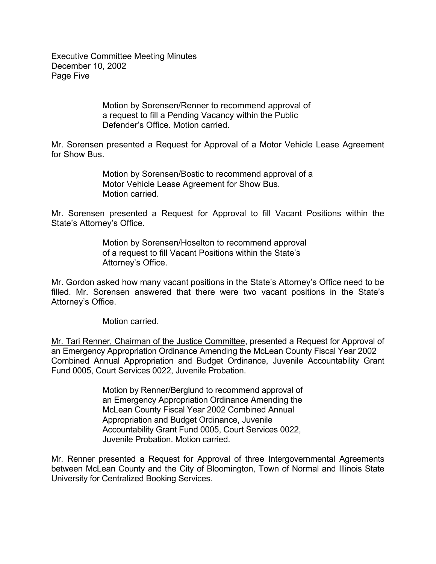Executive Committee Meeting Minutes December 10, 2002 Page Five

> Motion by Sorensen/Renner to recommend approval of a request to fill a Pending Vacancy within the Public Defender's Office. Motion carried.

Mr. Sorensen presented a Request for Approval of a Motor Vehicle Lease Agreement for Show Bus.

> Motion by Sorensen/Bostic to recommend approval of a Motor Vehicle Lease Agreement for Show Bus. Motion carried.

Mr. Sorensen presented a Request for Approval to fill Vacant Positions within the State's Attorney's Office.

> Motion by Sorensen/Hoselton to recommend approval of a request to fill Vacant Positions within the State's Attorney's Office.

Mr. Gordon asked how many vacant positions in the State's Attorney's Office need to be filled. Mr. Sorensen answered that there were two vacant positions in the State's Attorney's Office.

Motion carried.

Mr. Tari Renner, Chairman of the Justice Committee, presented a Request for Approval of an Emergency Appropriation Ordinance Amending the McLean County Fiscal Year 2002 Combined Annual Appropriation and Budget Ordinance, Juvenile Accountability Grant Fund 0005, Court Services 0022, Juvenile Probation.

> Motion by Renner/Berglund to recommend approval of an Emergency Appropriation Ordinance Amending the McLean County Fiscal Year 2002 Combined Annual Appropriation and Budget Ordinance, Juvenile Accountability Grant Fund 0005, Court Services 0022, Juvenile Probation. Motion carried.

Mr. Renner presented a Request for Approval of three Intergovernmental Agreements between McLean County and the City of Bloomington, Town of Normal and Illinois State University for Centralized Booking Services.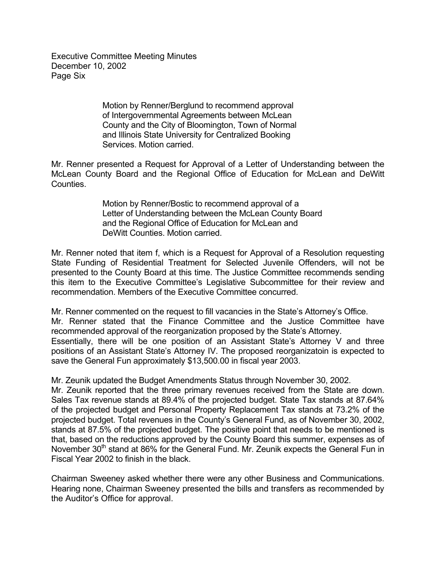Executive Committee Meeting Minutes December 10, 2002 Page Six

> Motion by Renner/Berglund to recommend approval of Intergovernmental Agreements between McLean County and the City of Bloomington, Town of Normal and Illinois State University for Centralized Booking Services. Motion carried.

Mr. Renner presented a Request for Approval of a Letter of Understanding between the McLean County Board and the Regional Office of Education for McLean and DeWitt Counties.

> Motion by Renner/Bostic to recommend approval of a Letter of Understanding between the McLean County Board and the Regional Office of Education for McLean and DeWitt Counties. Motion carried.

Mr. Renner noted that item f, which is a Request for Approval of a Resolution requesting State Funding of Residential Treatment for Selected Juvenile Offenders, will not be presented to the County Board at this time. The Justice Committee recommends sending this item to the Executive Committee's Legislative Subcommittee for their review and recommendation. Members of the Executive Committee concurred.

Mr. Renner commented on the request to fill vacancies in the State's Attorney's Office. Mr. Renner stated that the Finance Committee and the Justice Committee have recommended approval of the reorganization proposed by the State's Attorney. Essentially, there will be one position of an Assistant State's Attorney V and three positions of an Assistant State's Attorney IV. The proposed reorganizatoin is expected to save the General Fun approximately \$13,500.00 in fiscal year 2003.

Mr. Zeunik updated the Budget Amendments Status through November 30, 2002.

Mr. Zeunik reported that the three primary revenues received from the State are down. Sales Tax revenue stands at 89.4% of the projected budget. State Tax stands at 87.64% of the projected budget and Personal Property Replacement Tax stands at 73.2% of the projected budget. Total revenues in the County's General Fund, as of November 30, 2002, stands at 87.5% of the projected budget. The positive point that needs to be mentioned is that, based on the reductions approved by the County Board this summer, expenses as of November 30<sup>th</sup> stand at 86% for the General Fund. Mr. Zeunik expects the General Fun in Fiscal Year 2002 to finish in the black.

Chairman Sweeney asked whether there were any other Business and Communications. Hearing none, Chairman Sweeney presented the bills and transfers as recommended by the Auditor's Office for approval.